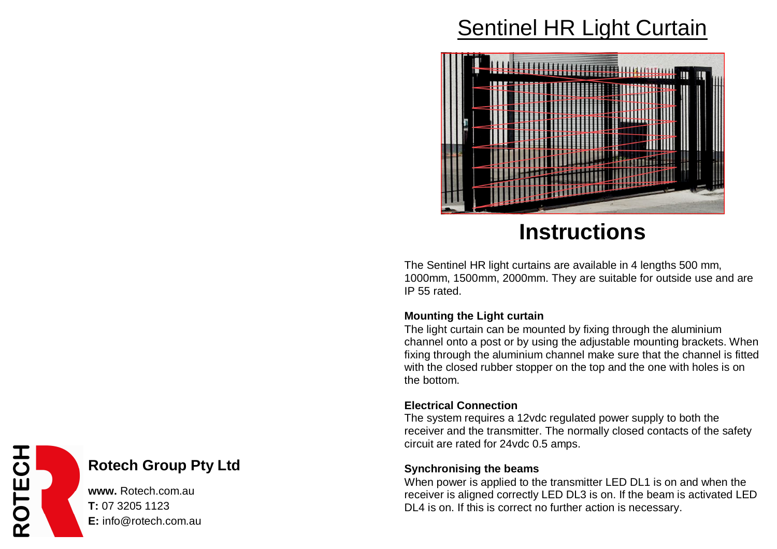## Sentinel HR Light Curtain



### **Instructions**

The Sentinel HR light curtains are available in 4 lengths 500 mm, 1000mm, 1500mm, 2000mm. They are suitable for outside use and are IP 55 rated.

### **Mounting the Light curtain**

The light curtain can be mounted by fixing through the aluminium channel onto a post or by using the adjustable mounting brackets. When fixing through the aluminium channel make sure that the channel is fitted with the closed rubber stopper on the top and the one with holes is on the bottom.

#### **Electrical Connection**

The system requires a 12vdc regulated power supply to both the receiver and the transmitter. The normally closed contacts of the safety circuit are rated for 24vdc 0.5 amps.

#### **Synchronising the beams**

When power is applied to the transmitter LED DL1 is on and when the receiver is aligned correctly LED DL3 is on. If the beam is activated LED DL4 is on. If this is correct no further action is necessary.

### **Rotech Group Pty Ltd**

**www.** Rotech.com.au **T:** 07 3205 1123 **E:** info@rotech.com.au

ROTECH